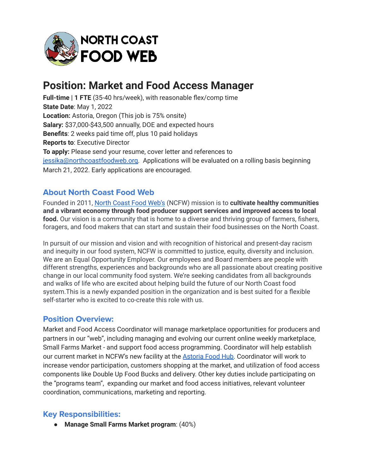

# **Position: Market and Food Access Manager**

**Full-time | 1 FTE** (35-40 hrs/week), with reasonable flex/comp time **State Date**: May 1, 2022 **Location:** Astoria, Oregon (This job is 75% onsite) **Salary:** \$37,000-\$43,500 annually, DOE and expected hours **Benefits**: 2 weeks paid time off, plus 10 paid holidays **Reports to**: Executive Director **To apply:** Please send your resume, cover letter and references to [jessika@northcoastfoodweb.org.](mailto:jessika@northcoastfoodweb.org) Applications will be evaluated on a rolling basis beginning March 21, 2022. Early applications are encouraged.

## **About North Coast Food Web**

Founded in 2011, North [Coast](http://www.northcoastfoodweb.org) Food Web's (NCFW) mission is to **cultivate healthy communities and a vibrant economy through food producer support services and improved access to local food.** Our vision is a community that is home to a diverse and thriving group of farmers, fishers, foragers, and food makers that can start and sustain their food businesses on the North Coast.

In pursuit of our mission and vision and with recognition of historical and present-day racism and inequity in our food system, NCFW is committed to justice, equity, diversity and inclusion. We are an Equal Opportunity Employer. Our employees and Board members are people with different strengths, experiences and backgrounds who are all passionate about creating positive change in our local community food system. We're seeking candidates from all backgrounds and walks of life who are excited about helping build the future of our North Coast food system.This is a newly expanded position in the organization and is best suited for a flexible self-starter who is excited to co-create this role with us.

### **Position Overview:**

Market and Food Access Coordinator will manage marketplace opportunities for producers and partners in our "web", including managing and evolving our current online weekly marketplace, Small Farms Market - and support food access programming. Coordinator will help establish our current market in NCFW's new facility at the [Astoria](https://astoriafoodhub.com/) Food Hub. Coordinator will work to increase vendor participation, customers shopping at the market, and utilization of food access components like Double Up Food Bucks and delivery. Other key duties include participating on the "programs team", expanding our market and food access initiatives, relevant volunteer coordination, communications, marketing and reporting.

### **Key Responsibilities:**

● **Manage Small Farms Market program**: (40%)